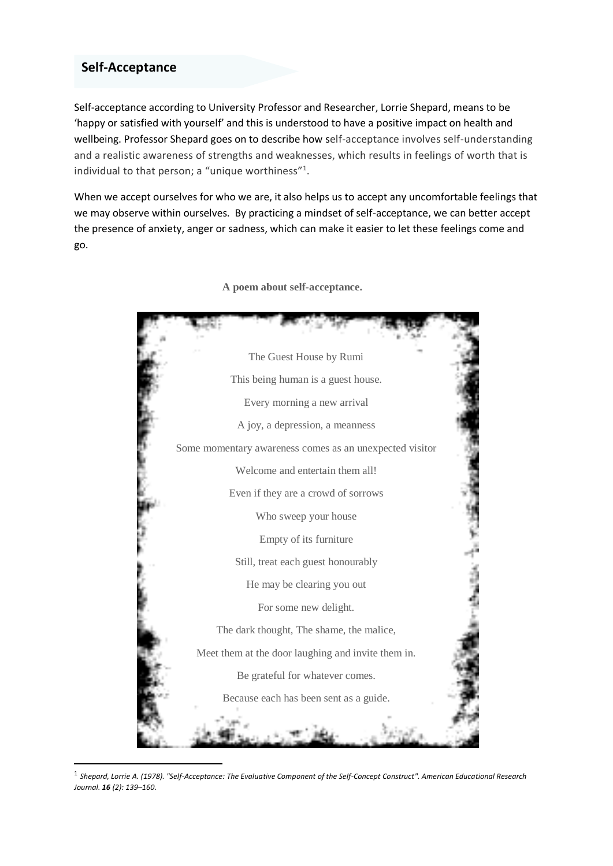## **Self-Acceptance**

1

Self-acceptance according to University Professor and Researcher, Lorrie Shepard, means to be 'happy or satisfied with yourself' and this is understood to have a positive impact on health and wellbeing. Professor Shepard goes on to describe how self-acceptance involves self-understanding and a realistic awareness of strengths and weaknesses, which results in feelings of worth that is individual to that person; a "unique worthiness"<sup>1</sup>.

When we accept ourselves for who we are, it also helps us to accept any uncomfortable feelings that we may observe within ourselves. By practicing a mindset of self-acceptance, we can better accept the presence of anxiety, anger or sadness, which can make it easier to let these feelings come and go.



**A poem about self-acceptance.**

<sup>1</sup> *Shepard, Lorrie A. (1978). "Self-Acceptance: The Evaluative Component of the Self-Concept Construct". American Educational Research Journal. 16 (2): 139–160.*